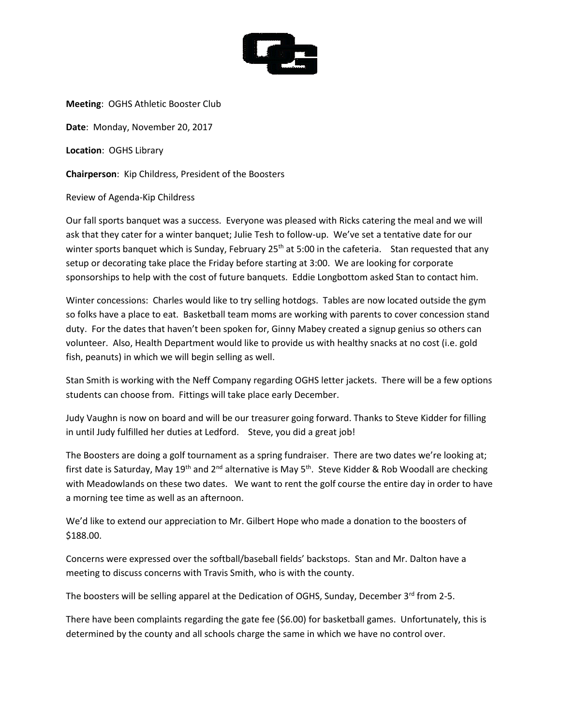

**Meeting**: OGHS Athletic Booster Club

**Date**: Monday, November 20, 2017

**Location**: OGHS Library

**Chairperson**: Kip Childress, President of the Boosters

Review of Agenda-Kip Childress

Our fall sports banquet was a success. Everyone was pleased with Ricks catering the meal and we will ask that they cater for a winter banquet; Julie Tesh to follow-up. We've set a tentative date for our winter sports banquet which is Sunday, February  $25<sup>th</sup>$  at 5:00 in the cafeteria. Stan requested that any setup or decorating take place the Friday before starting at 3:00. We are looking for corporate sponsorships to help with the cost of future banquets. Eddie Longbottom asked Stan to contact him.

Winter concessions: Charles would like to try selling hotdogs. Tables are now located outside the gym so folks have a place to eat. Basketball team moms are working with parents to cover concession stand duty. For the dates that haven't been spoken for, Ginny Mabey created a signup genius so others can volunteer. Also, Health Department would like to provide us with healthy snacks at no cost (i.e. gold fish, peanuts) in which we will begin selling as well.

Stan Smith is working with the Neff Company regarding OGHS letter jackets. There will be a few options students can choose from. Fittings will take place early December.

Judy Vaughn is now on board and will be our treasurer going forward. Thanks to Steve Kidder for filling in until Judy fulfilled her duties at Ledford. Steve, you did a great job!

The Boosters are doing a golf tournament as a spring fundraiser. There are two dates we're looking at; first date is Saturday, May 19<sup>th</sup> and 2<sup>nd</sup> alternative is May 5<sup>th</sup>. Steve Kidder & Rob Woodall are checking with Meadowlands on these two dates. We want to rent the golf course the entire day in order to have a morning tee time as well as an afternoon.

We'd like to extend our appreciation to Mr. Gilbert Hope who made a donation to the boosters of \$188.00.

Concerns were expressed over the softball/baseball fields' backstops. Stan and Mr. Dalton have a meeting to discuss concerns with Travis Smith, who is with the county.

The boosters will be selling apparel at the Dedication of OGHS, Sunday, December 3<sup>rd</sup> from 2-5.

There have been complaints regarding the gate fee (\$6.00) for basketball games. Unfortunately, this is determined by the county and all schools charge the same in which we have no control over.